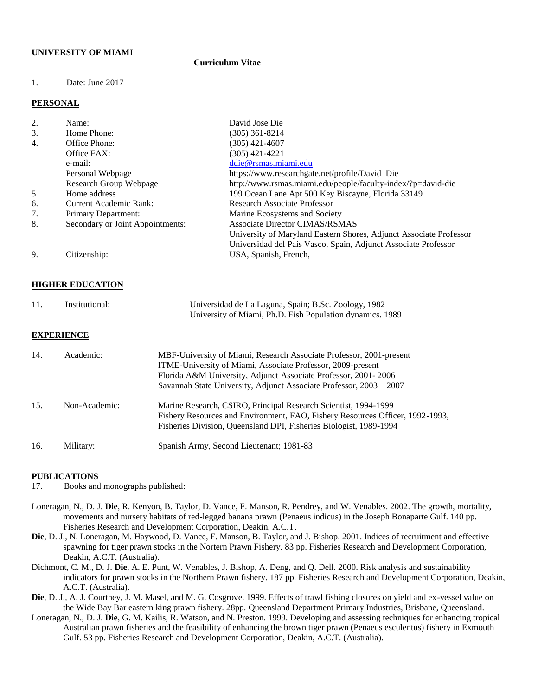## **UNIVERSITY OF MIAMI**

## **Curriculum Vitae**

## 1. Date: June 2017

### **PERSONAL**

| 2. | Name:                            | David Jose Die                                                     |
|----|----------------------------------|--------------------------------------------------------------------|
| 3. | Home Phone:                      | (305) 361-8214                                                     |
| 4. | Office Phone:                    | (305) 421-4607                                                     |
|    | Office FAX:                      | (305) 421-4221                                                     |
|    | e-mail:                          | ddie@rsmas.miami.edu                                               |
|    | Personal Webpage                 | https://www.researchgate.net/profile/David_Die                     |
|    | Research Group Webpage           | http://www.rsmas.miami.edu/people/faculty-index/?p=david-die       |
| 5  | Home address                     | 199 Ocean Lane Apt 500 Key Biscayne, Florida 33149                 |
| 6. | <b>Current Academic Rank:</b>    | <b>Research Associate Professor</b>                                |
|    | Primary Department:              | Marine Ecosystems and Society                                      |
| 8. | Secondary or Joint Appointments: | <b>Associate Director CIMAS/RSMAS</b>                              |
|    |                                  | University of Maryland Eastern Shores, Adjunct Associate Professor |
|    |                                  | Universidad del Pais Vasco, Spain, Adjunct Associate Professor     |
| 9. | Citizenship:                     | USA, Spanish, French,                                              |

#### **HIGHER EDUCATION**

| 11. | Institutional: | Universidad de La Laguna, Spain; B.Sc. Zoology, 1982      |
|-----|----------------|-----------------------------------------------------------|
|     |                | University of Miami, Ph.D. Fish Population dynamics. 1989 |

#### **EXPERIENCE**

| 14. | Academic:     | MBF-University of Miami, Research Associate Professor, 2001-present<br>ITME-University of Miami, Associate Professor, 2009-present<br>Florida A&M University, Adjunct Associate Professor, 2001-2006<br>Savannah State University, Adjunct Associate Professor, 2003 - 2007 |
|-----|---------------|-----------------------------------------------------------------------------------------------------------------------------------------------------------------------------------------------------------------------------------------------------------------------------|
| 15. | Non-Academic: | Marine Research, CSIRO, Principal Research Scientist, 1994-1999<br>Fishery Resources and Environment, FAO, Fishery Resources Officer, 1992-1993,<br>Fisheries Division, Queensland DPI, Fisheries Biologist, 1989-1994                                                      |
| 16. | Military:     | Spanish Army, Second Lieutenant; 1981-83                                                                                                                                                                                                                                    |

#### **PUBLICATIONS**

- 17. Books and monographs published:
- Loneragan, N., D. J. **Die**, R. Kenyon, B. Taylor, D. Vance, F. Manson, R. Pendrey, and W. Venables. 2002. The growth, mortality, movements and nursery habitats of red-legged banana prawn (Penaeus indicus) in the Joseph Bonaparte Gulf. 140 pp. Fisheries Research and Development Corporation, Deakin, A.C.T.
- **Die**, D. J., N. Loneragan, M. Haywood, D. Vance, F. Manson, B. Taylor, and J. Bishop. 2001. Indices of recruitment and effective spawning for tiger prawn stocks in the Nortern Prawn Fishery. 83 pp. Fisheries Research and Development Corporation, Deakin, A.C.T. (Australia).
- Dichmont, C. M., D. J. **Die**, A. E. Punt, W. Venables, J. Bishop, A. Deng, and Q. Dell. 2000. Risk analysis and sustainability indicators for prawn stocks in the Northern Prawn fishery. 187 pp. Fisheries Research and Development Corporation, Deakin, A.C.T. (Australia).
- **Die**, D. J., A. J. Courtney, J. M. Masel, and M. G. Cosgrove. 1999. Effects of trawl fishing closures on yield and ex-vessel value on the Wide Bay Bar eastern king prawn fishery. 28pp. Queensland Department Primary Industries, Brisbane, Queensland.
- Loneragan, N., D. J. **Die**, G. M. Kailis, R. Watson, and N. Preston. 1999. Developing and assessing techniques for enhancing tropical Australian prawn fisheries and the feasibility of enhancing the brown tiger prawn (Penaeus esculentus) fishery in Exmouth Gulf. 53 pp. Fisheries Research and Development Corporation, Deakin, A.C.T. (Australia).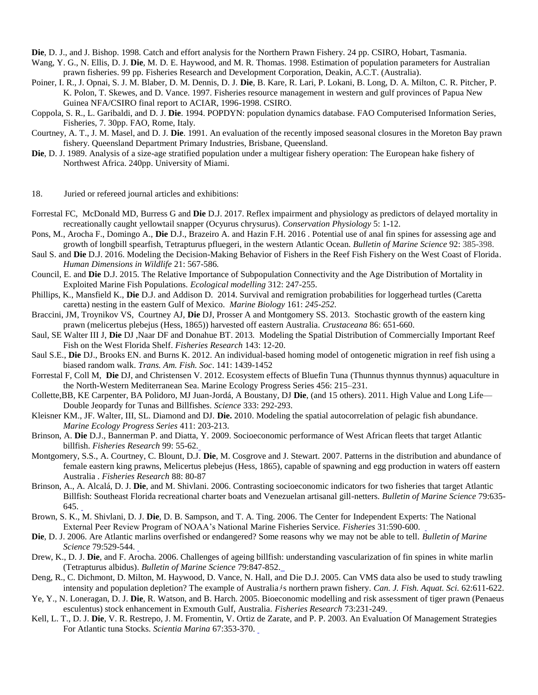**Die**, D. J., and J. Bishop. 1998. Catch and effort analysis for the Northern Prawn Fishery. 24 pp. CSIRO, Hobart, Tasmania.

- Wang, Y. G., N. Ellis, D. J. **Die**, M. D. E. Haywood, and M. R. Thomas. 1998. Estimation of population parameters for Australian prawn fisheries. 99 pp. Fisheries Research and Development Corporation, Deakin, A.C.T. (Australia).
- Poiner, I. R., J. Opnai, S. J. M. Blaber, D. M. Dennis, D. J. **Die**, B. Kare, R. Lari, P. Lokani, B. Long, D. A. Milton, C. R. Pitcher, P. K. Polon, T. Skewes, and D. Vance. 1997. Fisheries resource management in western and gulf provinces of Papua New Guinea NFA/CSIRO final report to ACIAR, 1996-1998. CSIRO.
- Coppola, S. R., L. Garibaldi, and D. J. **Die**. 1994. POPDYN: population dynamics database. FAO Computerised Information Series, Fisheries, 7. 30pp. FAO, Rome, Italy.
- Courtney, A. T., J. M. Masel, and D. J. **Die**. 1991. An evaluation of the recently imposed seasonal closures in the Moreton Bay prawn fishery. Queensland Department Primary Industries, Brisbane, Queensland.
- **Die**, D. J. 1989. Analysis of a size-age stratified population under a multigear fishery operation: The European hake fishery of Northwest Africa. 240pp. University of Miami.

18. Juried or refereed journal articles and exhibitions:

- Forrestal FC, McDonald MD, Burress G and **Die** D.J. 2017. Reflex impairment and physiology as predictors of delayed mortality in recreationally caught yellowtail snapper (Ocyurus chrysurus). *Conservation Physiology* 5: 1-12.
- Pons, M., Arocha F., Domingo A., **Die** D.J., Brazeiro A. and Hazin F.H. 2016 *.* Potential use of anal fin spines for assessing age and growth of longbill spearfish, Tetrapturus pfluegeri, in the western Atlantic Ocean. *Bulletin of Marine Science* 92: 385-398.
- Saul S. and **Die** D.J. 2016. Modeling the Decision-Making Behavior of Fishers in the Reef Fish Fishery on the West Coast of Florida. *Human Dimensions in Wildlife* 21: 567-586*.*
- Council, E. and **Die** D.J. 2015*.* The Relative Importance of Subpopulation Connectivity and the Age Distribution of Mortality in Exploited Marine Fish Populations. *Ecological modelling* 312: 247-255.
- Phillips, K., Mansfield K., **Die** D.J. and Addison D. 2014. Survival and remigration probabilities for loggerhead turtles (Caretta caretta) nesting in the eastern Gulf of Mexico. *Marine Biology* 161: *245-252.*
- Braccini, JM, Troynikov VS, Courtney AJ, **Die** DJ, Prosser A and Montgomery SS. 2013. Stochastic growth of the eastern king prawn (melicertus plebejus (Hess, 1865)) harvested off eastern Australia. *Crustaceana* 86: 651-660.
- Saul, SE Walter III J, **Die** DJ ,Naar DF and Donahue BT. 2013*.* Modeling the Spatial Distribution of Commercially Important Reef Fish on the West Florida Shelf. *Fisheries Research* 143: 12-20.
- Saul S.E., **Die** DJ., Brooks EN. and Burns K. 2012. An individual-based homing model of ontogenetic migration in reef fish using a biased random walk. *Trans. Am. Fish. Soc*. 141: 1439-1452
- Forrestal F, Coll M, **Die** DJ, and Christensen V. 2012. Ecosystem effects of Bluefin Tuna (Thunnus thynnus thynnus) aquaculture in the North-Western Mediterranean Sea. Marine Ecology Progress Series 456: 215–231.
- Collette,BB, KE Carpenter, BA Polidoro, MJ Juan-Jordá, A Boustany, DJ **Die**, (and 15 others). 2011. High Value and Long Life— Double Jeopardy for Tunas and Billfishes. *Science* 333: 292-293.
- Kleisner KM., JF. Walter, III, SL. Diamond and DJ. **Die.** 2010. Modeling the spatial autocorrelation of pelagic fish abundance. *Marine Ecology Progress Series* 411: 203-213.
- Brinson, A. **Die** D.J., Bannerman P. and Diatta, Y. 2009. Socioeconomic performance of West African fleets that target Atlantic billfish. *Fisheries Research* 99: 55-62*[.](http://www.scirus.com/srsapp/sciruslink?src=sd&url=http%3A%2F%2Fwww.sciencedirect.com%2Fscience%3F_ob%3DGatewayURL%26_origin%3DScienceSearch%26_method%3DcitationSearch%26_piikey%3DS0165783609001040%26_version%3D1%26_returnURL%3Dhttp%253A%252F%252Fwww.sciru)*
- Montgomery, S.S., A. Courtney, C. Blount, D.J. **Die**, M. Cosgrove and J. Stewart. 2007. Patterns in the distribution and abundance of female eastern king prawns, Melicertus plebejus (Hess, 1865), capable of spawning and egg production in waters off eastern Australia . *Fisheries Research* 88: 80-87
- Brinson, A., A. Alcalá, D. J. **Die**, and M. Shivlani. 2006. Contrasting socioeconomic indicators for two fisheries that target Atlantic Billfish: Southeast Florida recreational charter boats and Venezuelan artisanal gill-netters. *Bulletin of Marine Science* 79:635- 645.
- Brown, S. K., M. Shivlani, D. J. **Die**, D. B. Sampson, and T. A. Ting. 2006. The Center for Independent Experts: The National External Peer Review Program of NOAA's National Marine Fisheries Service. *Fisheries* 31:590-600.
- **Die**, D. J. 2006. Are Atlantic marlins overfished or endangered? Some reasons why we may not be able to tell. *Bulletin of Marine Science* 79:529-544.
- Drew, K., D. J. **Die**, and F. Arocha. 2006. Challenges of ageing billfish: understanding vascularization of fin spines in white marlin (Tetrapturus albidus). *Bulletin of Marine Science* 79:847-852[.](http://cufer.rsmas.miami.edu/wordpress/wp-content/uploads/2007/05/p40.pdf)
- Deng, R., C. Dichmont, D. Milton, M. Haywood, D. Vance, N. Hall, and Die D.J. 2005. Can VMS data also be used to study trawling intensity and population depletion? The example of Australiaメs northern prawn fishery. *Can. J. Fish. Aquat. Sci.* 62:611-622.
- Ye, Y., N. Loneragan, D. J. **Die**, R. Watson, and B. Harch. 2005. Bioeconomic modelling and risk assessment of tiger prawn (Penaeus esculentus) stock enhancement in Exmouth Gulf, Australia. *Fisheries Research* 73:231-249[.](http://cufer.rsmas.miami.edu/wordpress/wp-content/uploads/2007/05/p35.pdf)
- Kell, L. T., D. J. **Die**, V. R. Restrepo, J. M. Fromentin, V. Ortiz de Zarate, and P. P. 2003. An Evaluation Of Management Strategies For Atlantic tuna Stocks. *Scientia Marina* 67:353-370.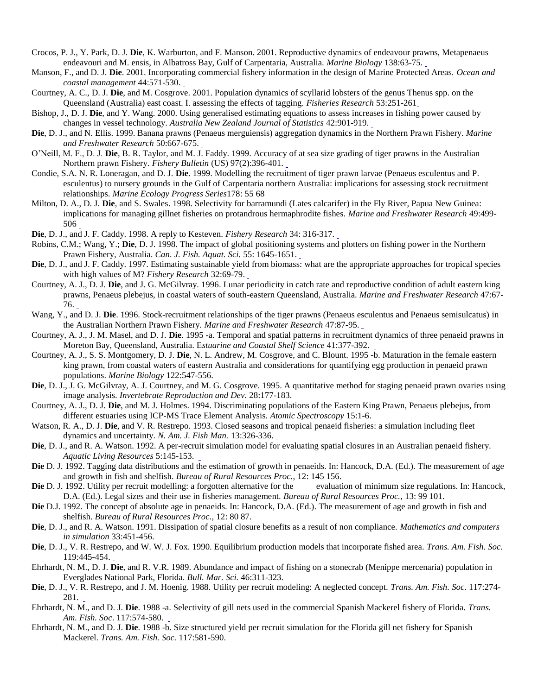- Crocos, P. J., Y. Park, D. J. **Die**, K. Warburton, and F. Manson. 2001. Reproductive dynamics of endeavour prawns, Metapenaeus endeavouri and M. ensis, in Albatross Bay, Gulf of Carpentaria, Australia. *Marine Biology* 138:63-75[.](http://cufer.rsmas.miami.edu/wordpress/wp-content/uploads/2007/05/p27.pdf)
- Manson, F., and D. J. **Die**. 2001. Incorporating commercial fishery information in the design of Marine Protected Areas. *Ocean and coastal management* 44:571-530.
- Courtney, A. C., D. J. **Die**, and M. Cosgrove. 2001. Population dynamics of scyllarid lobsters of the genus Thenus spp. on the Queensland (Australia) east coast. I. assessing the effects of tagging. *Fisheries Research* 53:251-26[1](http://cufer.rsmas.miami.edu/wordpress/wp-content/uploads/2007/05/p32.pdf)
- Bishop, J., D. J. **Die**, and Y. Wang. 2000. Using generalised estimating equations to assess increases in fishing power caused by changes in vessel technology. *Australia New Zealand Journal of Statistics* 42:901-919.
- **Die**, D. J., and N. Ellis. 1999. Banana prawns (Penaeus merguiensis) aggregation dynamics in the Northern Prawn Fishery. *Marine and Freshwater Research* 50:667-675.
- O'Neill, M. F., D. J. **Die**, B. R. Taylor, and M. J. Faddy. 1999. Accuracy of at sea size grading of tiger prawns in the Australian Northern prawn Fishery. *Fishery Bulletin* (US) 97(2):396-401.
- Condie, S.A. N. R. Loneragan, and D. J. **Die**. 1999. Modelling the recruitment of tiger prawn larvae (Penaeus esculentus and P. esculentus) to nursery grounds in the Gulf of Carpentaria northern Australia: implications for assessing stock recruitment relationships. *Marine Ecology Progress Series*178: 55 68
- Milton, D. A., D. J. **Die**, and S. Swales. 1998. Selectivity for barramundi (Lates calcarifer) in the Fly River, Papua New Guinea: implications for managing gillnet fisheries on protandrous hermaphrodite fishes. *Marine and Freshwater Research* 49:499- 50[6](http://cufer.rsmas.miami.edu/wordpress/wp-content/uploads/2007/05/p20.pdf)
- **Die**, D. J., and J. F. Caddy. 1998. A reply to Kesteven. *Fishery Research* 34: 316-317.
- Robins, C.M.; Wang, Y.; **Die**, D. J. 1998. The impact of global positioning systems and plotters on fishing power in the Northern Prawn Fishery, Australia. *Can. J. Fish. Aquat. Sci.* 55: 1645-1651[.](http://cufer.rsmas.miami.edu/wordpress/wp-content/uploads/2007/05/p21.pdf)
- **Die**, D. J., and J. F. Caddy. 1997. Estimating sustainable yield from biomass: what are the appropriate approaches for tropical species with high values of M? *Fishery Research* 32:69-79.
- Courtney, A. J., D. J. **Die**, and J. G. McGilvray. 1996. Lunar periodicity in catch rate and reproductive condition of adult eastern king prawns, Penaeus plebejus, in coastal waters of south-eastern Queensland, Australia. *Marine and Freshwater Research* 47:67- 76.
- Wang, Y., and D. J. **Die**. 1996. Stock-recruitment relationships of the tiger prawns (Penaeus esculentus and Penaeus semisulcatus) in the Australian Northern Prawn Fishery. *Marine and Freshwater Research* 47:87-95[.](http://cufer.rsmas.miami.edu/wordpress/wp-content/uploads/2007/05/p17.pdf)
- Courtney, A. J., J. M. Masel, and D. J. **Die**. 1995 -a. Temporal and spatial patterns in recruitment dynamics of three penaeid prawns in Moreton Bay, Queensland, Australia. E*stuarine and Coastal Shelf Science* 41:377-392.
- Courtney, A. J., S. S. Montgomery, D. J. **Die**, N. L. Andrew, M. Cosgrove, and C. Blount. 1995 -b. Maturation in the female eastern king prawn, from coastal waters of eastern Australia and considerations for quantifying egg production in penaeid prawn populations. *Marine Biology* 122:547-556.
- Die, D. J., J. G. McGilvray, A. J. Courtney, and M. G. Cosgrove. 1995. A quantitative method for staging penaeid prawn ovaries using image analysis. *Invertebrate Reproduction and Dev.* 28:177-183.
- Courtney, A. J., D. J. **Die**, and M. J. Holmes. 1994. Discriminating populations of the Eastern King Prawn, Penaeus plebejus, from different estuaries using ICP-MS Trace Element Analysis. *Atomic Spectroscopy* 15:1-6.
- Watson, R. A., D. J. **Die**, and V. R. Restrepo. 1993. Closed seasons and tropical penaeid fisheries: a simulation including fleet dynamics and uncertainty. *N. Am. J. Fish Man.* 13:326-336.
- **Die**, D. J., and R. A. Watson. 1992. A per-recruit simulation model for evaluating spatial closures in an Australian penaeid fishery. *Aquatic Living Resources* 5:145-153.
- **Die** D. J. 1992. Tagging data distributions and the estimation of growth in penaeids. In: Hancock, D.A. (Ed.). The measurement of age and growth in fish and shelfish. *Bureau of Rural Resources Proc.,* 12: 145 156.
- **Die** D. J. 1992. Utility per recruit modelling: a forgotten alternative for the evaluation of minimum size regulations. In: Hancock, D.A. (Ed.). Legal sizes and their use in fisheries management. *Bureau of Rural Resources Proc.*, 13: 99 101.
- **Die** D.J. 1992. The concept of absolute age in penaeids. In: Hancock, D.A. (Ed.). The measurement of age and growth in fish and shelfish. *Bureau of Rural Resources Proc.,* 12: 80 87.
- **Die**, D. J., and R. A. Watson. 1991. Dissipation of spatial closure benefits as a result of non compliance. *Mathematics and computers in simulation* 33:451-456.
- **Die**, D. J., V. R. Restrepo, and W. W. J. Fox. 1990. Equilibrium production models that incorporate fished area. *Trans. Am. Fish. Soc.* 119:445-454.
- Ehrhardt, N. M., D. J. **Die**, and R. V.R. 1989. Abundance and impact of fishing on a stonecrab (Menippe mercenaria) population in Everglades National Park, Florida. *Bull. Mar. Sci.* 46:311-323.
- **Die**, D. J., V. R. Restrepo, and J. M. Hoenig. 1988. Utility per recruit modeling: A neglected concept. *Trans. Am. Fish. Soc.* 117:274- 281.
- Ehrhardt, N. M., and D. J. **Die**. 1988 -a. Selectivity of gill nets used in the commercial Spanish Mackerel fishery of Florida. *Trans. Am. Fish. Soc*. 117:574-580.
- Ehrhardt, N. M., and D. J. **Die**. 1988 -b. Size structured yield per recruit simulation for the Florida gill net fishery for Spanish Mackerel. *Trans. Am. Fish. Soc.* 117:581-590.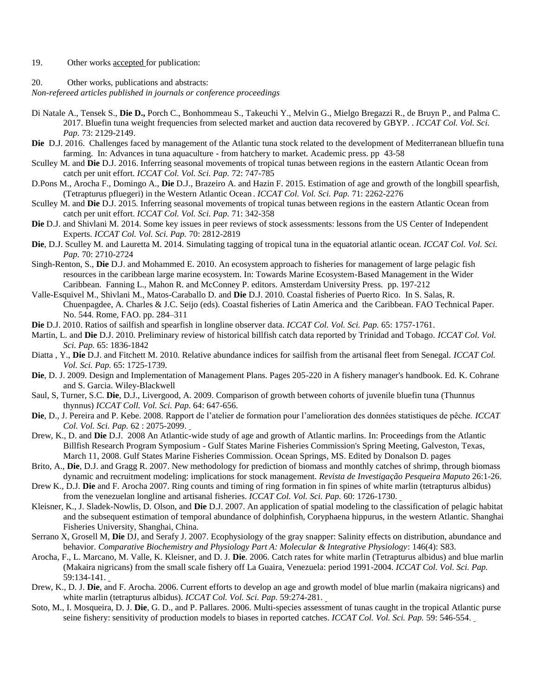### 19. Other works accepted for publication:

#### 20. Other works, publications and abstracts:

*Non-refereed articles published in journals or conference proceedings*

- Di Natale A., Tensek S., **Die D.,** Porch C., Bonhommeau S., Takeuchi Y., Melvin G., Mielgo Bregazzi R., de Bruyn P., and Palma C. 2017. Bluefin tuna weight frequencies from selected market and auction data recovered by GBYP. . *ICCAT Col. Vol. Sci. Pap.* 73: 2129-2149.
- **Die** D.J. 2016. Challenges faced by management of the Atlantic tuna stock related to the development of Mediterranean blluefin tuna farming. In: Advances in tuna aquaculture - from hatchery to market. Academic press. pp 43-58
- Sculley M. and **Die** D.J. 2016. Inferring seasonal movements of tropical tunas between regions in the eastern Atlantic Ocean from catch per unit effort. *ICCAT Col. Vol. Sci. Pap.* 72: 747-785
- D.Pons M., Arocha F., Domingo A., **Die** D.J., Brazeiro A. and Hazin F. 2015. Estimation of age and growth of the longbill spearfish, (Tetrapturus pfluegeri) in the Western Atlantic Ocean . *ICCAT Col. Vol. Sci. Pap.* 71: 2262-2276
- Sculley M. and **Die** D.J. 2015*.* Inferring seasonal movements of tropical tunas between regions in the eastern Atlantic Ocean from catch per unit effort. *ICCAT Col. Vol. Sci. Pap.* 71: 342-358
- **Die** D.J. and Shivlani M. 2014. Some key issues in peer reviews of stock assessments: lessons from the US Center of Independent Experts. *ICCAT Col. Vol. Sci. Pap.* 70: 2812-2819
- **Die**, D.J. Sculley M. and Lauretta M. 2014*.* Simulating tagging of tropical tuna in the equatorial atlantic ocean. *ICCAT Col. Vol. Sci. Pap.* 70: 2710-2724
- Singh-Renton, S., **Die** D.J. and Mohammed E. 2010. An ecosystem approach to fisheries for management of large pelagic fish resources in the caribbean large marine ecosystem. In: Towards Marine Ecosystem-Based Management in the Wider Caribbean. Fanning L., Mahon R. and McConney P. editors. Amsterdam University Press. pp. 197-212
- Valle-Esquivel M., Shivlani M., Matos-Caraballo D. and **Die** D.J. 2010*.* Coastal fisheries of Puerto Rico. In S. Salas, R. Chuenpagdee, A. Charles & J.C. Seijo (eds). Coastal fisheries of Latin America and the Caribbean. FAO Technical Paper. No. 544. Rome, FAO. pp. 284–311
- **Die** D.J. 2010. Ratios of sailfish and spearfish in longline observer data. *ICCAT Col. Vol. Sci. Pap.* 65: 1757-1761.
- Martin, L. and **Die** D.J. 2010*.* Preliminary review of historical billfish catch data reported by Trinidad and Tobago. *ICCAT Col. Vol. Sci. Pap.* 65: 1836-1842
- Diatta , Y., **Die** D.J. and Fitchett M. 2010*.* Relative abundance indices for sailfish from the artisanal fleet from Senegal. *ICCAT Col. Vol. Sci. Pap.* 65: 1725-1739.
- **Die**, D. J. 2009. Design and Implementation of Management Plans. Pages 205-220 in A fishery manager's handbook. Ed. K. Cohrane and S. Garcia. Wiley-Blackwell
- Saul, S, Turner, S.C. **Die**, D.J., Livergood, A. 2009. Comparison of growth between cohorts of juvenile bluefin tuna (Thunnus thynnus) *ICCAT Coll. Vol. Sci. Pap.* 64: 647-656.
- **Die**, D., J. Pereira and P. Kebe. 2008. Rapp[ort](http://iccat.int/Documents/CVSP/CV062_2008/no_6/CV062062075.pdf) de l'atelier de formation pour l'amelioration des données statistiques de pêche. *ICCAT Col. Vol. Sci. Pap.* 62 : 2075-2099.
- Drew, K., D. and **Die** D.J. 2008 An Atlantic-wide study of age and growth of Atlantic marlins. In: Proceedings from the Atlantic Billfish Research Program Symposium - Gulf States Marine Fisheries Commission's Spring Meeting, Galveston, Texas, March 11, 2008. Gulf States Marine Fisheries Commission. Ocean Springs, MS. Edited by Donalson D. pages
- Brito, A., **Die**, D.J. and Gragg R. 2007. New methodology for prediction of biomass and monthly catches of shrimp, through biomass dynamic and recruitment modeling: implications for stock management. *Revista de Investigação Pesqueira Maputo* 26:1-26.
- Drew K., D.J. **Die** and F. Arocha 2007. Ring counts and timing of ring formation in fin spines of white marlin (tetrapturus albidus) from the venezuelan longline and artisanal fisheries. *ICCAT Col. Vol. Sci. Pap.* 60: 1726-1730[.](http://www.iccat.int/Documents/CVSP/CV060_2007/no_5%5CCV060051726.pdf)
- Kleisner, K., J. Sladek-Nowlis, D. Olson, and **Die** D.J. 2007. An application of spatial modeling to the classification of pelagic habitat and the subsequent estimation of temporal abundance of dolphinfish, Coryphaena hippurus, in the western Atlantic. Shanghai Fisheries University, Shanghai, China.
- Serrano X, Grosell M, **Die** DJ, and Serafy J. 2007. Ecophysiology of the gray snapper: Salinity effects on distribution, abundance and behavior. *Comparative Biochemistry and Physiology Part A: Molecular & Integrative Physiology*: 146(4): S83.
- Arocha, F., L. Marcano, M. Valle, K. Kleisner, and D. J. **Die**. 2006. Catch rates for white marlin (Tetrapturus albidus) and blue marlin (Makaira nigricans) from the small scale fishery off La Guaira, Venezuela: period 1991-2004. *ICCAT Col. Vol. Sci. Pap.* 59:134-141.
- Drew, K., D. J. **Die**, and F. Arocha. 2006. Current efforts to develop an age and growth model of blue marlin (makaira nigricans) and white marlin (tetrapturus albidus). *ICCAT Col. Vol. Sci. Pap.* 59:274-281[.](http://cufer.rsmas.miami.edu/wordpress/wp-content/uploads/2007/05/r23.pdf)
- Soto, M., I. Mosqueira, D. J. **Die**, G. D., and P. Pallares. 2006. Multi-species assessment of tunas caught in the tropical Atlantic purse seine fishery: sensitivity of production models to biases in reported catches. *ICCAT Col. Vol. Sci. Pap.* 59: 546-554[.](http://cufer.rsmas.miami.edu/wordpress/wp-content/uploads/2007/05/r28.pdf)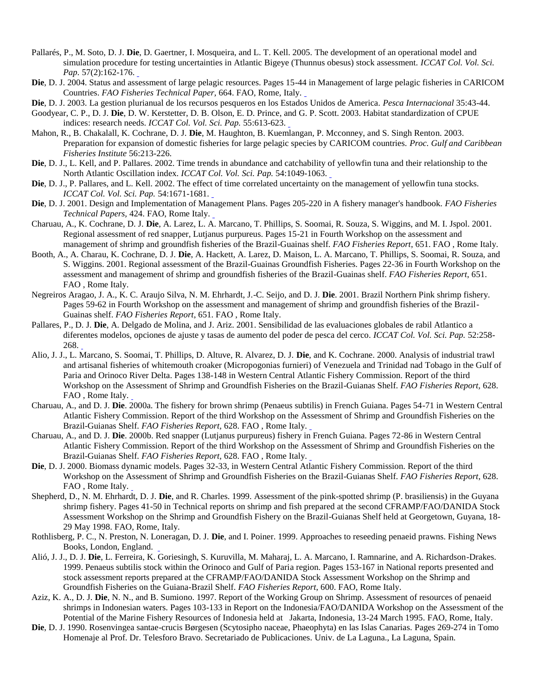- Pallarés, P., M. Soto, D. J. **Die**, D. Gaertner, I. Mosqueira, and L. T. Kell. 2005. The development of an operational model and simulation procedure for testing uncertainties in Atlantic Bigeye (Thunnus obesus) stock assessment. *ICCAT Col. Vol. Sci. Pap.* 57(2):162-176.
- **Die**, D. J. 2004. Status and assessment of large pelagic resources. Pages 15-44 in Management of large pelagic fisheries in CARICOM Countries. *FAO Fisheries Technical Paper,* 664. FAO, Rome, Italy.
- **Die**, D. J. 2003. La gestion plurianual de los recursos pesqueros en los Estados Unidos de America. *Pesca Internacional* 35:43-44.
- Goodyear, C. P., D. J. **Die**, D. W. Kerstetter, D. B. Olson, E. D. Prince, and G. P. Scott. 2003. Habitat standardization of CPUE indices: research needs. *ICCAT Col. Vol. Sci. Pap.* 55:613-623.
- Mahon, R., B. Chakalall, K. Cochrane, D. J. **Die**, M. Haughton, B. Kuemlangan, P. Mcconney, and S. Singh Renton. 2003. Preparation for expansion of domestic fisheries for large pelagic species by CARICOM countries. *Proc. Gulf and Caribbean Fisheries Institute* 56:213-226.
- **Die**, D. J., L. Kell, and P. Pallares. 2002. Time trends in abundance and catchability of yellowfin tuna and their relationship to the North Atlantic Oscillation index. *ICCAT Col. Vol. Sci. Pap.* 54:1049-1063[.](http://www.iccat.int/Documents/CVSP/CV054_2002/no_4/CV054041049.pdf)
- **Die**, D. J., P. Pallares, and L. Kell. 2002. The effect of time correlated uncertainty on the management of yellowfin tuna stocks. *ICCAT Col. Vol. Sci. Pap.* 54:1671-1681[.](http://www.iccat.int/Documents/CVSP/CV054_2002/no_5/CV054051671.pdf)
- **Die**, D. J. 2001. Design and Implementation of Management Plans. Pages 205-220 in A fishery manager's handbook. *FAO Fisheries Technical Papers,* 424. FAO, Rome Italy.
- Charuau, A., K. Cochrane, D. J. **Die**, A. Larez, L. A. Marcano, T. Phillips, S. Soomai, R. Souza, S. Wiggins, and M. I. Jspol. 2001. Regional assessment of red snapper, Lutjanus purpureus. Pages 15-21 in Fourth Workshop on the assessment and management of shrimp and groundfish fisheries of the Brazil-Guainas shelf. *FAO Fisheries Report*, 651. FAO , Rome Italy.
- Booth, A., A. Charau, K. Cochrane, D. J. **Die**, A. Hackett, A. Larez, D. Maison, L. A. Marcano, T. Phillips, S. Soomai, R. Souza, and S. Wiggins. 2001. Regional assessment of the Brazil-Guainas Groundfish Fisheries. Pages 22-36 in Fourth Workshop on the assessment and management of shrimp and groundfish fisheries of the Brazil-Guainas shelf. *FAO Fisheries Report*, 651. FAO , Rome Italy.
- Negreiros Aragao, J. A., K. C. Araujo Silva, N. M. Ehrhardt, J.-C. Seijo, and D. J. **Die**. 2001. Brazil Northern Pink shrimp fishery. Pages 59-62 in Fourth Workshop on the assessment and management of shrimp and groundfish fisheries of the Brazil-Guainas shelf. *FAO Fisheries Report*, 651. FAO , Rome Italy.
- Pallares, P., D. J. **Die**, A. Delgado de Molina, and J. Ariz. 2001. Sensibilidad de las evaluaciones globales de rabil Atlantico a diferentes modelos, opciones de ajuste y tasas de aumento del poder de pesca del cerco. *ICCAT Col. Vol. Sci. Pap.* 52:258- 268.
- Alio, J. J., L. Marcano, S. Soomai, T. Phillips, D. Altuve, R. Alvarez, D. J. **Die**, and K. Cochrane. 2000. Analysis of industrial trawl and artisanal fisheries of whitemouth croaker (Micropogonias furnieri) of Venezuela and Trinidad nad Tobago in the Gulf of Paria and Orinoco River Delta. Pages 138-148 in Western Central Atlantic Fishery Commission. Report of the third Workshop on the Assessment of Shrimp and Groundfish Fisheries on the Brazil-Guianas Shelf. *FAO Fisheries Report,* 628. FAO , Rome Italy.
- Charuau, A., and D. J. **Die**. 2000a. The fishery for brown shrimp (Penaeus subtilis) in French Guiana. Pages 54-71 in Western Central Atlantic Fishery Commission. Report of the third Workshop on the A[ss](ftp://ftp.fao.org/docrep/fao/006/x9136e/x9136e08.pdf)essment of Shrimp and Groundfish Fisheries on the Brazil-Guianas Shelf. *FAO Fisheries Report,* 628. FAO , Rome Italy.
- Charuau, A., and D. J. **Die**. 2000b. Red snapper (Lutjanus purpureus) fishery in French Guiana. Pages 72-86 in Western Central Atlantic Fishery Commission. Report of the third Workshop on the Assessment of Shrimp and Groundfish Fisheries on the Brazil-Guianas Shelf. *FAO Fisheries Report,* 628. FAO , Rome Italy.
- **Die**, D. J. 2000. Biomass dynamic models. Pages 32-33, in Western Central Atlantic Fishery Commission. Report of the third Workshop on the [As](ftp://ftp.fao.org/docrep/fao/006/x9136e/x9136e04.pdf)sessment of Shrimp and Groundfish Fisheries on the Brazil-Guianas Shelf. *FAO Fisheries Report*, 628. FAO , Rome Italy.
- Shepherd, D., N. M. Ehrhardt, D. J. **Die**, and R. Charles. 1999. Assessment of the pink-spotted shrimp (P. brasiliensis) in the Guyana shrimp fishery. Pages 41-50 in Technical reports on shrimp and fish prepared at the second CFRAMP/FAO/DANIDA Stock Assessment Workshop on the Shrimp and Groundfish Fishery on the Brazil-Guianas Shelf held at Georgetown, Guyana, 18- 29 May 1998. FAO, Rome, Italy.
- Rothlisberg, P. C., N. Preston, N. [Lon](http://cufer.rsmas.miami.edu/wordpress/wp-content/uploads/2007/05/p26.pdf)eragan, D. J. **Die**, and I. Poiner. 1999. Approaches to reseeding penaeid prawns. Fishing News Books, London, England.
- Alió, J. J., D. J. **Die**, L. Ferreira, K. Goriesingh, S. Kuruvilla, M. Maharaj, L. A. Marcano, I. Ramnarine, and A. Richardson-Drakes. 1999. Penaeus subtilis stock within the Orinoco and Gulf of Paria region. Pages 153-167 in National reports presented and stock assessment reports prepared at the CFRAMP/FAO/DANIDA Stock Assessment Workshop on the Shrimp and Groundfish Fisheries on the Guiana-Brazil Shelf. *FAO Fisheries Report*, 600. FAO, Rome Italy.
- Aziz, K. A., D. J. **Die**, N. N., and B. Sumiono. 1997. Report of the Working Group on Shrimp. Assessment of resources of penaeid shrimps in Indonesian waters. Pages 103-133 in Report on the Indonesia/FAO/DANIDA Workshop on the Assessment of the Potential of the Marine Fishery Resources of Indonesia held at Jakarta, Indonesia, 13-24 March 1995. FAO, Rome, Italy.
- **Die**, D. J. 1990. Rosenvingea santae-crucis Børgesen (Scytosipho naceae, Phaeophyta) en las Islas Canarias. Pages 269-274 in Tomo Homenaje al Prof. Dr. Telesforo Bravo. Secretariado de Publicaciones. Univ. de La Laguna., La Laguna, Spain.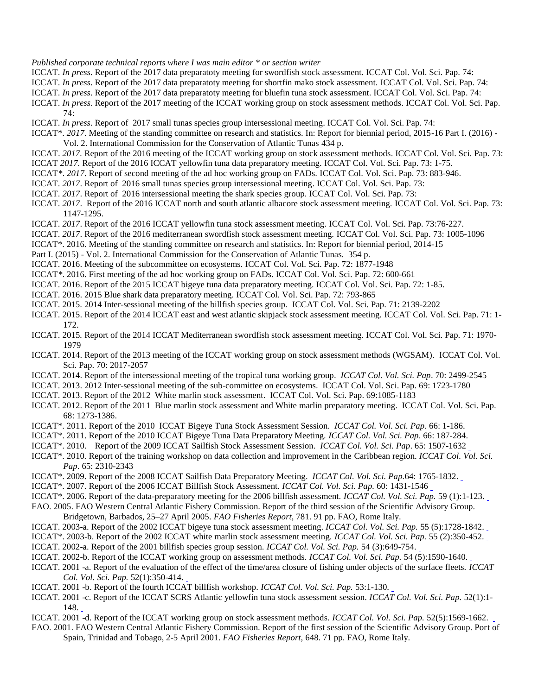#### *Published corporate technical reports where I was main editor \* or section writer*

- ICCAT. *In press*. Report of the 2017 data preparatoty meeting for swordfish stock assessment. ICCAT Col. Vol. Sci. Pap. 74:
- ICCAT. *In press*. Report of the 2017 data preparatoty meeting for shortfin mako stock assessment. ICCAT Col. Vol. Sci. Pap. 74:
- ICCAT. *In press*. Report of the 2017 data preparatoty meeting for bluefin tuna stock assessment. ICCAT Col. Vol. Sci. Pap. 74:
- ICCAT. *In press.* Report of the 2017 meeting of the ICCAT working group on stock assessment methods. ICCAT Col. Vol. Sci. Pap. 74:
- ICCAT. *In press*. Report of 2017 small tunas species group intersessional meeting. ICCAT Col. Vol. Sci. Pap. 74:
- ICCAT\*. *2017*. Meeting of the standing committee on research and statistics. In: Report for biennial period, 2015-16 Part I. (2016) Vol. 2. International Commission for the Conservation of Atlantic Tunas 434 p.
- ICCAT. *2017.* Report of the 2016 meeting of the ICCAT working group on stock assessment methods. ICCAT Col. Vol. Sci. Pap. 73: ICCAT *2017.* Report of the 2016 ICCAT yellowfin tuna data preparatory meeting. ICCAT Col. Vol. Sci. Pap. 73: 1-75.
- ICCAT*\**. *2017*. Report of second meeting of the ad hoc working group on FADs. ICCAT Col. Vol. Sci. Pap. 73: 883-946.
- ICCAT. *2017*. Report of 2016 small tunas species group intersessional meeting. ICCAT Col. Vol. Sci. Pap. 73:
- ICCAT. *2017*. Report of 2016 intersessional meeting the shark species group. ICCAT Col. Vol. Sci. Pap. 73:
- ICCAT. *2017*. Report of the 2016 ICCAT north and south atlantic albacore stock assessment meeting. ICCAT Col. Vol. Sci. Pap. 73: 1147-1295.
- ICCAT. *2017*. Report of the 2016 ICCAT yellowfin tuna stock assessment meeting. ICCAT Col. Vol. Sci. Pap. 73:76-227.
- ICCAT. *2017*. Report of the 2016 mediterranean swordfish stock assessment meeting. ICCAT Col. Vol. Sci. Pap. 73: 1005-1096
- ICCAT\*. 2016. Meeting of the standing committee on research and statistics. In: Report for biennial period, 2014-15
- Part I. (2015) Vol. 2. International Commission for the Conservation of Atlantic Tunas. 354 p.

ICCAT. 2016. Meeting of the subcommittee on ecosystems. ICCAT Col. Vol. Sci. Pap. 72: 1877-1948

ICCAT*\**. 2016. First meeting of the ad hoc working group on FADs. ICCAT Col. Vol. Sci. Pap. 72: 600-661

- ICCAT. 2016. Report of the 2015 ICCAT bigeye tuna data preparatory meeting. ICCAT Col. Vol. Sci. Pap. 72: 1-85.
- ICCAT. 2016. 2015 Blue shark data preparatory meeting. ICCAT Col. Vol. Sci. Pap. 72: 793-865
- ICCAT. 2015. 2014 Inter-sessional meeting of the billfish species group. ICCAT Col. Vol. Sci. Pap. 71: 2139-2202
- ICCAT. 2015. Report of the 2014 ICCAT east and west atlantic skipjack stock assessment meeting. ICCAT Col. Vol. Sci. Pap. 71: 1- 172.
- ICCAT. 2015*.* Report of the 2014 ICCAT Mediterranean swordfish stock assessment meeting. ICCAT Col. Vol. Sci. Pap. 71: 1970- 1979
- ICCAT. 2014. Report of the 2013 meeting of the ICCAT working group on stock assessment methods (WGSAM). ICCAT Col. Vol. Sci. Pap. 70: 2017-2057
- ICCAT. 2014. Report of the intersessional meeting of the tropical tuna working group. *ICCAT Col. Vol. Sci. Pap*. 70: 2499-2545
- ICCAT. 2013. 2012 Inter-sessional meeting of the sub-committee on ecosystems. ICCAT Col. Vol. Sci. Pap. 69: 1723-1780
- ICCAT. 2013. Report of the 2012 White marlin stock assessment. ICCAT Col. Vol. Sci. Pap. 69:1085-1183
- ICCAT. 2012. Report of the 2011 Blue marlin stock assessment and White marlin preparatory meeting. ICCAT Col. Vol. Sci. Pap. 68: 1273-1386.
- ICCAT\*. 2011. Report of the 2010 ICCAT Bigeye Tuna Stock Assessment Session. *ICCAT Col. Vol. Sci. Pap*. 66: 1-186.
- ICCAT\*. 2011. Report of the 2010 ICCAT Bigeye Tuna Data Preparatory Meeting. *ICCAT Col. Vol. Sci. Pap*. 66: 187-284.
- ICCAT\*. 2010. Report of the 2009 ICCAT Sailfish Stock Assessment Session. *ICCAT Col. Vol. Sci. Pap*. 65: 1507-1632
- ICCAT\*. 2010*.* Report of the training workshop on data collection and improvement in the Caribbean region. *ICCAT Col. Vol. Sci. Pap.* 65: 2310-2343
- ICCAT\*. 2009. Report of the 2008 ICCAT Sailfish Data Preparatory Meeting. *ICCAT Col. Vol. Sci. Pap.*64: 17[65](http://iccat.int/Documents/CVSP/CV060_2007/no_5%5CCV060051431.pdf)-1832.
- ICCAT\*. 2007. Report of the 2006 ICCAT Billfish Stock Assessment. *ICCAT Col. Vol. Sci. Pap.* 60: 1431-1546
- ICCAT\*. 2006. Report of the data-preparatory meeting for the 2006 billfish assessment. *ICCAT Col. Vol. Sci. Pap.* 59 (1):1-123.
- FAO. 2005. FAO Western Central Atlantic Fishery Commission. Report of the third session of the Scientific Advisory Group.
- Bridgetown, Barbados, 25–27 April 2005. *FAO Fisheries Report*, 781. 91 pp. FAO, Rome Italy.
- ICCAT. 2003-a. Report of the 2002 ICCAT bigeye tuna stock assessment meeting. *ICCAT Col. Vol. Sci. Pap.* 55 (5):1728-1842[.](http://www.iccat.int/Documents/CVSP/CV055_2003/no_5/CV055051728.pdf)
- ICCAT\*. 2003-b. Report of the 2002 ICCAT white marlin stock assessment meeting. *ICCAT Col. Vol. Sci. P[ap](http://www.iccat.int/Documents/CVSP/CV054_2002/no_3/CV054030649.pdf).* 55 (2):350-452[.](http://www.iccat.int/Documents/CVSP/CV055_2003/no_2/CV055020350.pdf) ICCAT. 2002-a. Report of the 2001 billfish species group session. *ICCAT Col. Vol. Sci. Pap.* 54 (3):649-754.
- ICCAT. 2002-b. Report of the ICCAT working group on assessment methods. *ICCAT Col. Vol. Sci. Pap.* 54 (5):1590-1640.
- ICCAT. 2001 -a. Report of the evaluation of the effect of the time/area closure of fishing under objects of the surface fleets. *ICCAT Col. Vol. Sci. Pap.* 52(1):350-414[.](http://www.iccat.int/Documents/CVSP/CV052_2001/no_2/CV052020350.pdf)
- ICCAT. 2001 -b. Report of the fourth ICCAT billfish workshop. *ICCAT Col. Vol. Sci. Pap.* 53:1-130[.](http://www.iccat.int/Documents/CVSP/CV053_2001/CV053000001.pdf)
- ICCAT. 200[1 -c](http://www.iccat.int/Documents/CVSP/CV052_2001/no_1/CV052010001.pdf). Report of the ICCAT SCRS Atlantic yellowfin tuna stock assessment session. *ICCAT Col. Vol. Sci. Pap.* 52(1):1-  $148.$
- ICCAT. 2001 -d. Report of the ICCAT working group on stock assessment methods. *ICCAT Col. Vol. Sci. Pap.* 52(5):1569-1662.
- FAO. 2001. FAO Western Central Atlantic Fishery Commission. Report of the first session of the Scientific Advisory Group. Port of Spain, Trinidad and Tobago, 2-5 April 2001. *FAO Fisheries Report,* 648. 71 pp. FAO, Rome Italy.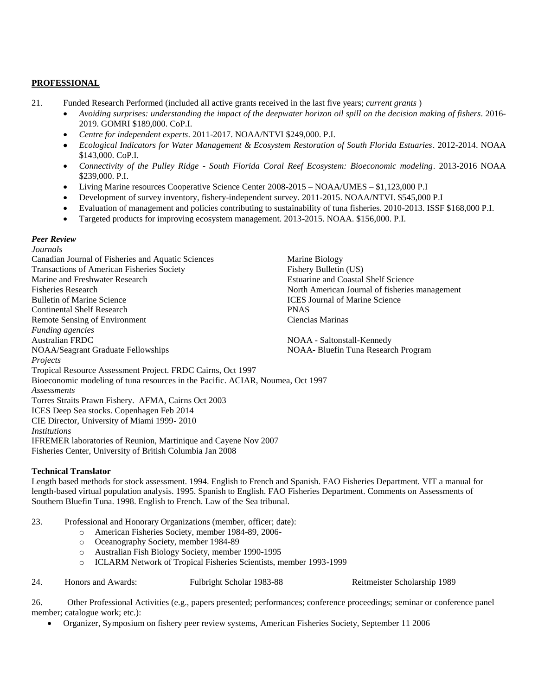## **PROFESSIONAL**

- 21. Funded Research Performed (included all active grants received in the last five years; *current grants* )
	- *Avoiding surprises: understanding the impact of the deepwater horizon oil spill on the decision making of fishers*. 2016- 2019. GOMRI \$189,000. CoP.I.
	- *Centre for independent experts*. 2011-2017. NOAA/NTVI \$249,000. P.I.
	- *Ecological Indicators for Water Management & Ecosystem Restoration of South Florida Estuaries*. 2012-2014. NOAA \$143,000. CoP.I.
	- *Connectivity of the Pulley Ridge - South Florida Coral Reef Ecosystem: Bioeconomic modeling*. 2013-2016 NOAA \$239,000. P.I.
	- Living Marine resources Cooperative Science Center 2008-2015 NOAA/UMES \$1,123,000 P.I
	- Development of survey inventory, fishery-independent survey. 2011-2015. NOAA/NTVI. \$545,000 P.I
	- Evaluation of management and policies contributing to sustainability of tuna fisheries. 2010-2013. ISSF \$168,000 P.I.
	- Targeted products for improving ecosystem management. 2013-2015. NOAA. \$156,000. P.I.

### *Peer Review*

*Journals* Canadian Journal of Fisheries and Aquatic Sciences Marine Biology Transactions of American Fisheries Society Fishery Bulletin (US) Marine and Freshwater Research **Estuarine and Coastal Shelf Science** Estuarine and Coastal Shelf Science Fisheries Research North American Journal of fisheries management Bulletin of Marine Science **ICES** Journal of Marine Science Continental Shelf Research PNAS Remote Sensing of Environment **Ciencias Marinas** *Funding agencies* Australian FRDC NOAA - Saltonstall-Kennedy NOAA/Seagrant Graduate Fellowships NOAA- Bluefin Tuna Research Program *Projects* Tropical Resource Assessment Project. FRDC Cairns, Oct 1997 Bioeconomic modeling of tuna resources in the Pacific. ACIAR, Noumea, Oct 1997 *Assessments* Torres Straits Prawn Fishery. AFMA, Cairns Oct 2003 ICES Deep Sea stocks. Copenhagen Feb 2014 CIE Director, University of Miami 1999- 2010 *Institutions* IFREMER laboratories of Reunion, Martinique and Cayene Nov 2007 Fisheries Center, University of British Columbia Jan 2008

### **Technical Translator**

Length based methods for stock assessment. 1994. English to French and Spanish. FAO Fisheries Department. VIT a manual for length-based virtual population analysis. 1995. Spanish to English. FAO Fisheries Department. Comments on Assessments of Southern Bluefin Tuna. 1998. English to French. Law of the Sea tribunal.

23. Professional and Honorary Organizations (member, officer; date):

- o American Fisheries Society, member 1984-89, 2006
	- o Oceanography Society, member 1984-89
	- o Australian Fish Biology Society, member 1990-1995
	- o ICLARM Network of Tropical Fisheries Scientists, member 1993-1999

24. Honors and Awards: Fulbright Scholar 1983-88 Reitmeister Scholarship 1989

26. Other Professional Activities (e.g., papers presented; performances; conference proceedings; seminar or conference panel member; catalogue work; etc.):

Organizer, Symposium on fishery peer review systems, American Fisheries Society, September 11 2006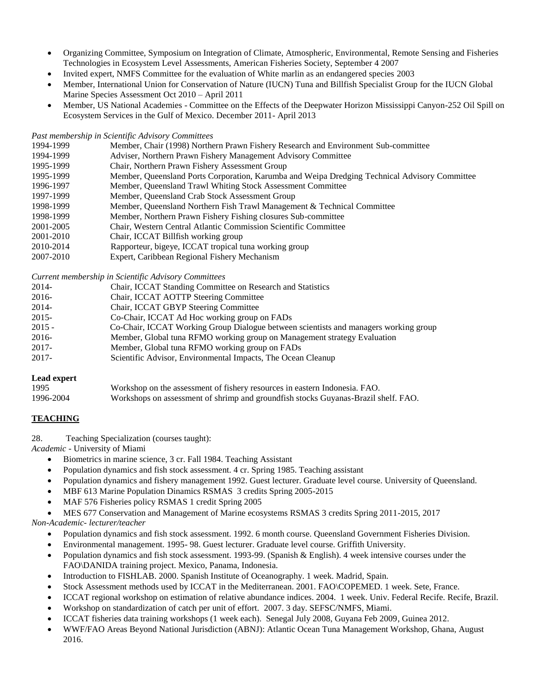- Organizing Committee, Symposium on Integration of Climate, Atmospheric, Environmental, Remote Sensing and Fisheries Technologies in Ecosystem Level Assessments, American Fisheries Society, September 4 2007
- Invited expert, NMFS Committee for the evaluation of White marlin as an endangered species 2003
- Member, International Union for Conservation of Nature (IUCN) Tuna and Billfish Specialist Group for the IUCN Global Marine Species Assessment Oct 2010 – April 2011
- Member, US National Academies Committee on the Effects of the Deepwater Horizon Mississippi Canyon-252 Oil Spill on Ecosystem Services in the Gulf of Mexico. December 2011- April 2013

## *Past membership in Scientific Advisory Committees*

| 1994-1999 | Member, Chair (1998) Northern Prawn Fishery Research and Environment Sub-committee            |
|-----------|-----------------------------------------------------------------------------------------------|
| 1994-1999 | Adviser, Northern Prawn Fishery Management Advisory Committee                                 |
| 1995-1999 | Chair, Northern Prawn Fishery Assessment Group                                                |
| 1995-1999 | Member, Queensland Ports Corporation, Karumba and Weipa Dredging Technical Advisory Committee |
| 1996-1997 | Member, Queensland Trawl Whiting Stock Assessment Committee                                   |
| 1997-1999 | Member, Queensland Crab Stock Assessment Group                                                |
| 1998-1999 | Member, Queensland Northern Fish Trawl Management & Technical Committee                       |
| 1998-1999 | Member, Northern Prawn Fishery Fishing closures Sub-committee                                 |
| 2001-2005 | Chair, Western Central Atlantic Commission Scientific Committee                               |
| 2001-2010 | Chair, ICCAT Billfish working group                                                           |
| 2010-2014 | Rapporteur, bigeye, ICCAT tropical tuna working group                                         |
| 2007-2010 | Expert, Caribbean Regional Fishery Mechanism                                                  |

*Current membership in Scientific Advisory Committees*

| 2014-    | Chair, ICCAT Standing Committee on Research and Statistics                           |
|----------|--------------------------------------------------------------------------------------|
| 2016-    | Chair, ICCAT AOTTP Steering Committee                                                |
| 2014-    | Chair, ICCAT GBYP Steering Committee                                                 |
| $2015 -$ | Co-Chair, ICCAT Ad Hoc working group on FADs                                         |
| $2015 -$ | Co-Chair, ICCAT Working Group Dialogue between scientists and managers working group |
| 2016-    | Member, Global tuna RFMO working group on Management strategy Evaluation             |
| 2017-    | Member, Global tuna RFMO working group on FADs                                       |
| 2017-    | Scientific Advisor, Environmental Impacts, The Ocean Cleanup                         |

## **Lead expert**

| 1995      | Workshop on the assessment of fishery resources in eastern Indonesia. FAO.         |
|-----------|------------------------------------------------------------------------------------|
| 1996-2004 | Workshops on assessment of shrimp and groundfish stocks Guyanas-Brazil shelf. FAO. |

## **TEACHING**

28. Teaching Specialization (courses taught):

*Academic -* University of Miami

- Biometrics in marine science, 3 cr. Fall 1984. Teaching Assistant
- Population dynamics and fish stock assessment. 4 cr. Spring 1985. Teaching assistant
- Population dynamics and fishery management 1992. Guest lecturer. Graduate level course. University of Queensland.
- MBF 613 Marine Population Dinamics RSMAS 3 credits Spring 2005-2015
- MAF 576 Fisheries policy RSMAS 1 credit Spring 2005
- MES 677 Conservation and Management of Marine ecosystems RSMAS 3 credits Spring 2011-2015, 2017

## *Non-Academic- lecturer/teacher*

- Population dynamics and fish stock assessment. 1992. 6 month course. Queensland Government Fisheries Division.
- Environmental management. 1995- 98. Guest lecturer. Graduate level course. Griffith University.
- Population dynamics and fish stock assessment. 1993-99. (Spanish & English). 4 week intensive courses under the FAO\DANIDA training project. Mexico, Panama, Indonesia.
- Introduction to FISHLAB. 2000. Spanish Institute of Oceanography. 1 week. Madrid, Spain.
- Stock Assessment methods used by ICCAT in the Mediterranean. 2001. FAO\COPEMED. 1 week. Sete, France.
- ICCAT regional workshop on estimation of relative abundance indices. 2004. 1 week. Univ. Federal Recife. Recife, Brazil.
- Workshop on standardization of catch per unit of effort. 2007. 3 day. SEFSC/NMFS, Miami.
- ICCAT fisheries data training workshops (1 week each). Senegal July 2008, Guyana Feb 2009, Guinea 2012.
- WWF/FAO Areas Beyond National Jurisdiction (ABNJ): Atlantic Ocean Tuna Management Workshop, Ghana, August 2016.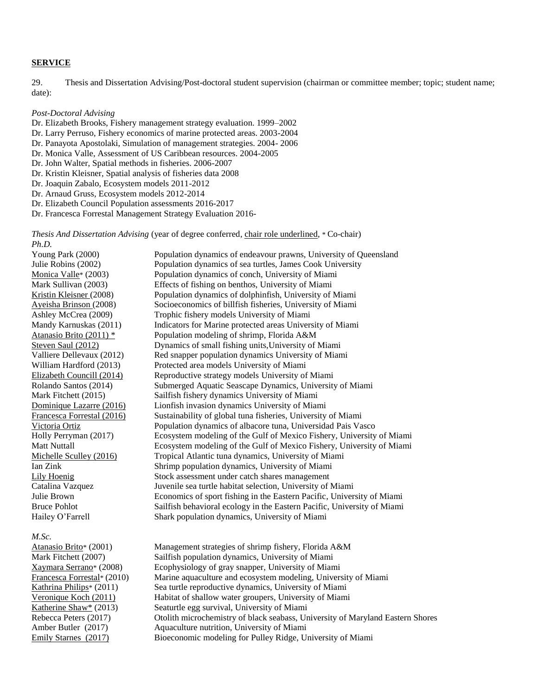# **SERVICE**

29. Thesis and Dissertation Advising/Post-doctoral student supervision (chairman or committee member; topic; student name; date):

#### *Post-Doctoral Advising*

- Dr. Elizabeth Brooks, Fishery management strategy evaluation. 1999–2002
- Dr. Larry Perruso, Fishery economics of marine protected areas. 2003-2004
- Dr. Panayota Apostolaki, Simulation of management strategies. 2004- 2006
- Dr. Monica Valle, Assessment of US Caribbean resources. 2004-2005
- Dr. John Walter, Spatial methods in fisheries. 2006-2007
- Dr. Kristin Kleisner, Spatial analysis of fisheries data 2008
- Dr. Joaquin Zabalo, Ecosystem models 2011-2012
- Dr. Arnaud Gruss, Ecosystem models 2012-2014
- Dr. Elizabeth Council Population assessments 2016-2017
- Dr. Francesca Forrestal Management Strategy Evaluation 2016-

*Thesis And Dissertation Advising* (year of degree conferred, chair role underlined, \* Co-chair) *Ph.D.*

| Young Park (2000)                | Population dynamics of endeavour prawns, University of Queensland       |
|----------------------------------|-------------------------------------------------------------------------|
| Julie Robins (2002)              | Population dynamics of sea turtles, James Cook University               |
| Monica Valle <sup>*</sup> (2003) | Population dynamics of conch, University of Miami                       |
| Mark Sullivan (2003)             | Effects of fishing on benthos, University of Miami                      |
| Kristin Kleisner (2008)          | Population dynamics of dolphinfish, University of Miami                 |
| Ayeisha Brinson (2008)           | Socioeconomics of billfish fisheries, University of Miami               |
| Ashley McCrea (2009)             | Trophic fishery models University of Miami                              |
| Mandy Karnuskas (2011)           | Indicators for Marine protected areas University of Miami               |
| Atanasio Brito (2011) *          | Population modeling of shrimp, Florida A&M                              |
| Steven Saul (2012)               | Dynamics of small fishing units, University of Miami                    |
| Valliere Dellevaux (2012)        | Red snapper population dynamics University of Miami                     |
| William Hardford (2013)          | Protected area models University of Miami                               |
| Elizabeth Councill (2014)        | Reproductive strategy models University of Miami                        |
| Rolando Santos (2014)            | Submerged Aquatic Seascape Dynamics, University of Miami                |
| Mark Fitchett (2015)             | Sailfish fishery dynamics University of Miami                           |
| Dominique Lazarre (2016)         | Lionfish invasion dynamics University of Miami                          |
| Francesca Forrestal (2016)       | Sustainability of global tuna fisheries, University of Miami            |
| Victoria Ortiz                   | Population dynamics of albacore tuna, Universidad Pais Vasco            |
| Holly Perryman (2017)            | Ecosystem modeling of the Gulf of Mexico Fishery, University of Miami   |
| Matt Nuttall                     | Ecosystem modeling of the Gulf of Mexico Fishery, University of Miami   |
| Michelle Sculley (2016)          | Tropical Atlantic tuna dynamics, University of Miami                    |
| Ian Zink                         | Shrimp population dynamics, University of Miami                         |
| Lily Hoenig                      | Stock assessment under catch shares management                          |
| Catalina Vazquez                 | Juvenile sea turtle habitat selection, University of Miami              |
| Julie Brown                      | Economics of sport fishing in the Eastern Pacific, University of Miami  |
| <b>Bruce Pohlot</b>              | Sailfish behavioral ecology in the Eastern Pacific, University of Miami |
| Hailey O'Farrell                 | Shark population dynamics, University of Miami                          |
|                                  |                                                                         |

#### *M.Sc.*

Atanasio Brito\* (2001) Management strategies of shrimp fishery, Florida A&M Mark Fitchett (2007) Sailfish population dynamics, University of Miami Xaymara Serrano\* (2008) Ecophysiology of gray snapper, University of Miami Francesca Forrestal\* (2010) Marine aquaculture and ecosystem modeling, University of Miami<br>Kathrina Philips\* (2011) Sea turtle reproductive dynamics, University of Miami Sea turtle reproductive dynamics, University of Miami Veronique Koch (2011) Habitat of shallow water groupers, University of Miami Katherine Shaw\* (2013) Seaturtle egg survival, University of Miami Rebecca Peters (2017) Otolith microchemistry of black seabass, University of Maryland Eastern Shores Amber Butler (2017) Aquaculture nutrition, University of Miami Emily Starnes (2017) Bioeconomic modeling for Pulley Ridge, University of Miami